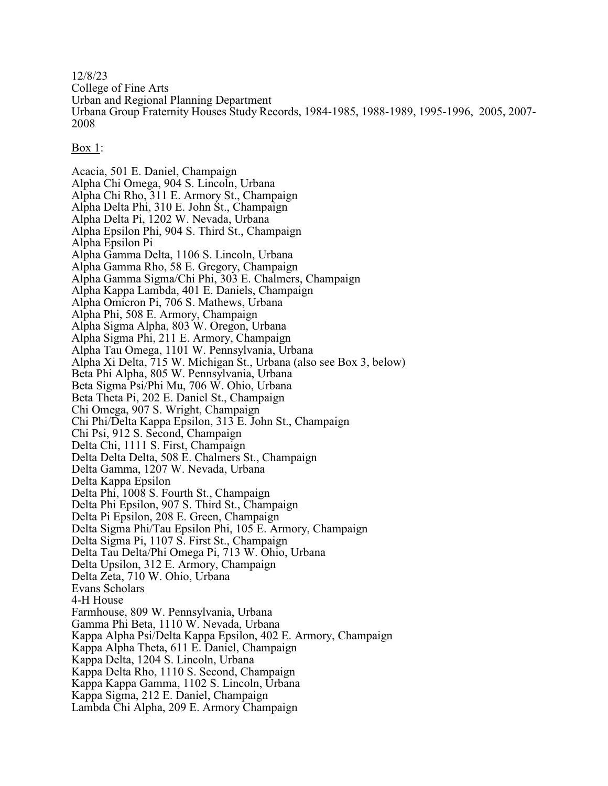12/8/23

College of Fine Arts

Urban and Regional Planning Department

Urbana Group Fraternity Houses Study Records, 1984-1985, 1988-1989, 1995-1996, 2005, 2007- 2008

Box 1:

Acacia, 501 E. Daniel, Champaign Alpha Chi Omega, 904 S. Lincoln, Urbana Alpha Chi Rho, 311 E. Armory St., Champaign Alpha Delta Phi, 310 E. John St., Champaign Alpha Delta Pi, 1202 W. Nevada, Urbana Alpha Epsilon Phi, 904 S. Third St., Champaign Alpha Epsilon Pi Alpha Gamma Delta, 1106 S. Lincoln, Urbana Alpha Gamma Rho, 58 E. Gregory, Champaign Alpha Gamma Sigma/Chi Phi, 303 E. Chalmers, Champaign Alpha Kappa Lambda, 401 E. Daniels, Champaign Alpha Omicron Pi, 706 S. Mathews, Urbana Alpha Phi, 508 E. Armory, Champaign Alpha Sigma Alpha, 803 W. Oregon, Urbana Alpha Sigma Phi, 211 E. Armory, Champaign Alpha Tau Omega, 1101 W. Pennsylvania, Urbana Alpha Xi Delta, 715 W. Michigan St., Urbana (also see Box 3, below) Beta Phi Alpha, 805 W. Pennsylvania, Urbana Beta Sigma Psi/Phi Mu, 706 W. Ohio, Urbana Beta Theta Pi, 202 E. Daniel St., Champaign Chi Omega, 907 S. Wright, Champaign Chi Phi/Delta Kappa Epsilon, 313 E. John St., Champaign Chi Psi, 912 S. Second, Champaign Delta Chi, 1111 S. First, Champaign Delta Delta Delta, 508 E. Chalmers St., Champaign Delta Gamma, 1207 W. Nevada, Urbana Delta Kappa Epsilon Delta Phi, 1008 S. Fourth St., Champaign Delta Phi Epsilon, 907 S. Third St., Champaign Delta Pi Epsilon, 208 E. Green, Champaign Delta Sigma Phi/Tau Epsilon Phi, 105 E. Armory, Champaign Delta Sigma Pi, 1107 S. First St., Champaign Delta Tau Delta/Phi Omega Pi, 713 W. Ohio, Urbana Delta Upsilon, 312 E. Armory, Champaign Delta Zeta, 710 W. Ohio, Urbana Evans Scholars 4-H House Farmhouse, 809 W. Pennsylvania, Urbana Gamma Phi Beta, 1110 W. Nevada, Urbana Kappa Alpha Psi/Delta Kappa Epsilon, 402 E. Armory, Champaign Kappa Alpha Theta, 611 E. Daniel, Champaign Kappa Delta, 1204 S. Lincoln, Urbana Kappa Delta Rho, 1110 S. Second, Champaign Kappa Kappa Gamma, 1102 S. Lincoln, Urbana Kappa Sigma, 212 E. Daniel, Champaign Lambda Chi Alpha, 209 E. Armory Champaign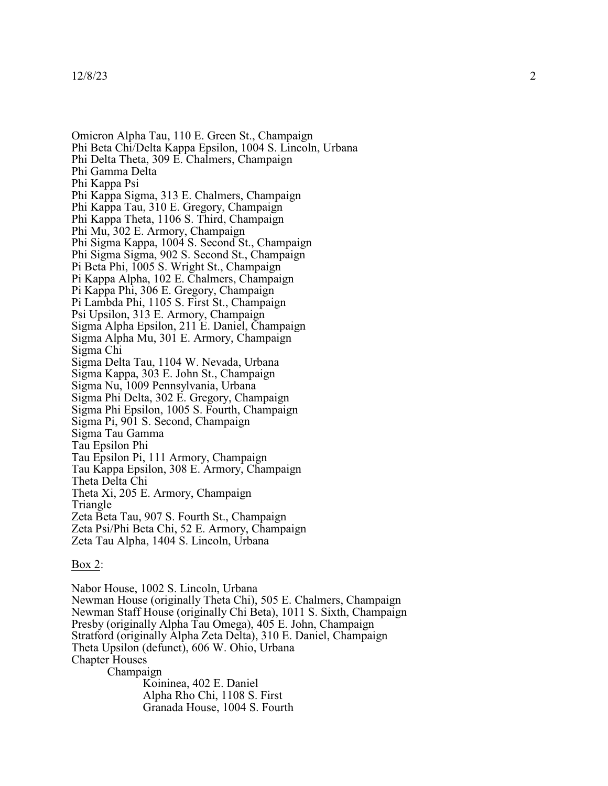## 12/8/23

Omicron Alpha Tau, 110 E. Green St., Champaign Phi Beta Chi/Delta Kappa Epsilon, 1004 S. Lincoln, Urbana Phi Delta Theta, 309 E. Chalmers, Champaign Phi Gamma Delta Phi Kapp a Psi Phi Kappa Sigma, 313 E. Chalmers, Champaign P h i Ka p pa Tau , 3 1 0 E . Gregory , C ham paign Phi Kappa Theta, 1106 S. Third, Champaign Phi Mu, 302 E. Armory, Champaign Phi Sigma Kappa, 1004 S. Second St., Champaign Phi Sigma Sigma, 902 S. Second St., Champaign Pi Beta Phi, 1005 S. Wright St., Champaign Pi Kappa Alpha, 102 E. Chalmers, Champaign P i Ka p pa P h i , 3 0 6 E . Gregory , C ham paign Pi Lambda Phi, 1105 S. First St., Champaign Psi Upsilon, 313 E. Armory, Champaign Sigma Alpha Epsilon, 211 E. Daniel, Champaign S igma A l p ha M u , 3 0 1 E . Ar m ory , C ham paign Sigma Chi Sigma Delta Tau, 1104 W. Nevada, Urbana Sigma Kappa, 303 E. John St., Champaign Sigma Nu, 1009 Pennsylvania, Urbana Sigma Phi Delta, 302 E. Gregory, Cham paign Sigma Phi Epsilon, 1005 S. Fourth, Champaign Sigma Pi, 901 S. Second, Champaign Sigma Tau G amma Tau Epsilon Phi<br>Tau Epsilon Pi, 111 Armory, Champaign Tau Ka p pa E p s i l o n , 3 0 8 E . Ar m ory , C ham paign Theta Delta Chi<br>Theta Xi, 205 E. Armory, Champaign Triangle Zeta Beta Tau , 9 0 7 S . Fo urt h S t . , C ham paign Zeta Psi/Phi Beta Chi, 52 E. Armory, Champaign Zeta Tau Alpha, 1404 S. Lincoln, Urbana

## Box 2:

Nabor House, 1002 S. Lincoln, Urbana Newman House (originally Theta Chi), 505 E. Chalmers, Champaign Newman Staff House (originally Chi Beta), 1011 S. Sixth, Champaign Presby (originally Alpha Tau Omega), 405 E. John, Champaign Stratford (originally Alpha Zeta Delta), 310 E. Daniel, Champaign Theta Upsilon (defunct), 606 W. Ohio, Urbana Chapter House s C ham paign Koininea, 402 E. Daniel Alph a Rho Chi, 1108 S. First Granada House, 1004 S. Fourth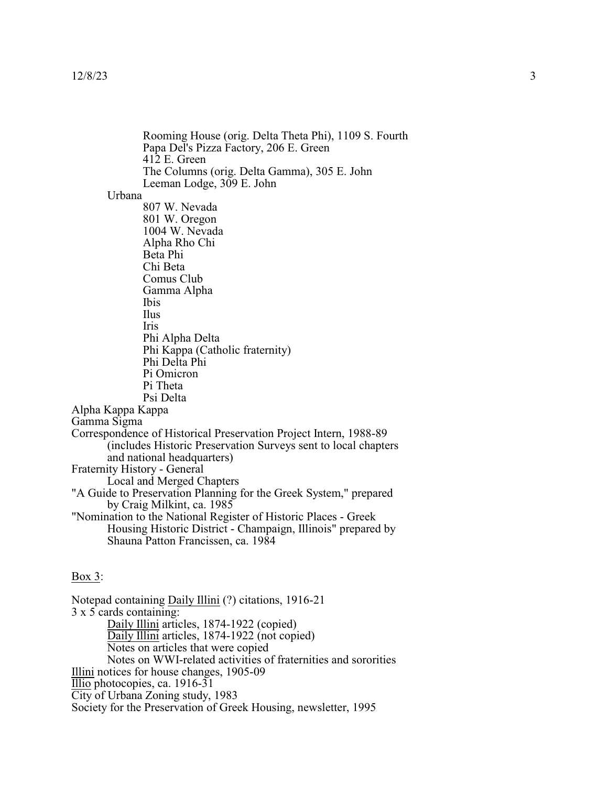Rooming House (orig. Delta Theta Phi), 1109 S. Fourth Papa Del's Pizza Factory, 206 E. Green 412 E. Green The Columns (orig. Delta Gamma), 305 E. John Leeman Lodge, 309 E. John Urbana 807 W. Nevada 801 W. Oregon 1004 W. Nevada Alpha Rho Chi Beta Phi Chi Beta Comus Club Gamma Alpha Ibis Ilus Iris Phi Alpha Delta Phi Kappa (Catholic fraternity) Phi Delta Phi Pi Omicron Pi Theta Psi Delta Alpha Kappa Kappa Gamma Sigma Correspondence of Historical Preservation Project Intern, 1988-89 (includes Historic Preservation Surveys sent to local chapters and national headquarters) Fraternity History - General Local and Merged Chapters "A Guide to Preservation Planning for the Greek System," prepared by Craig Milkint, ca. 1985 "Nomination to the National Register of Historic Places - Greek Housing Historic District - Champaign, Illinois" prepared by Shauna Patton Francissen, ca. 1984 Box 3: Notepad containing Daily Illini (?) citations, 1916-21

3 x 5 cards containing: Daily Illini articles, 1874-1922 (copied) Daily Illini articles, 1874-1922 (not copied) Notes on articles that were copied Notes on WWI-related activities of fraternities and sororities Illini notices for house changes, 1905-09 Illio photocopies, ca. 1916-31 City of Urbana Zoning study, 1983 Society for the Preservation of Greek Housing, newsletter, 1995